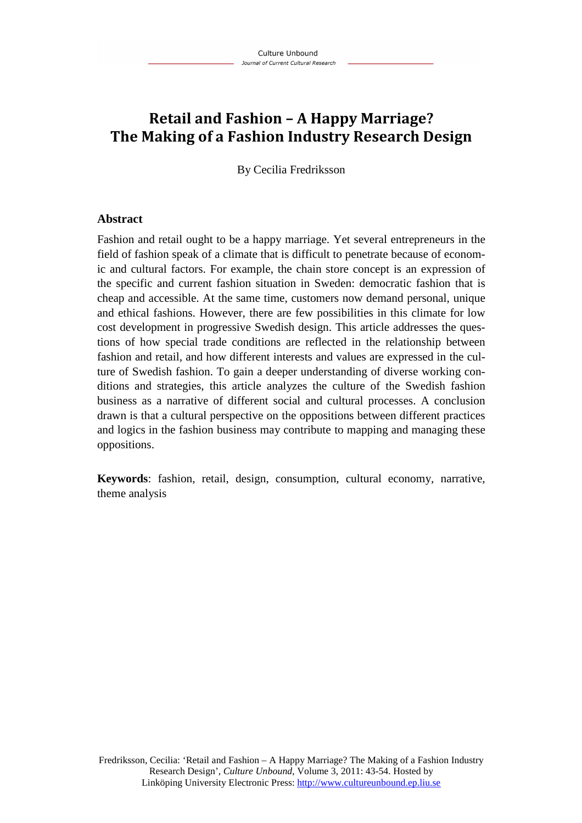# **Retail and Fashion – A Happy Marriage? The Making of a Fashion Industry Research Design**

By Cecilia Fredriksson

#### **Abstract**

Fashion and retail ought to be a happy marriage. Yet several entrepreneurs in the field of fashion speak of a climate that is difficult to penetrate because of economic and cultural factors. For example, the chain store concept is an expression of the specific and current fashion situation in Sweden: democratic fashion that is cheap and accessible. At the same time, customers now demand personal, unique and ethical fashions. However, there are few possibilities in this climate for low cost development in progressive Swedish design. This article addresses the questions of how special trade conditions are reflected in the relationship between fashion and retail, and how different interests and values are expressed in the culture of Swedish fashion. To gain a deeper understanding of diverse working conditions and strategies, this article analyzes the culture of the Swedish fashion business as a narrative of different social and cultural processes. A conclusion drawn is that a cultural perspective on the oppositions between different practices and logics in the fashion business may contribute to mapping and managing these oppositions.

**Keywords**: fashion, retail, design, consumption, cultural economy, narrative, theme analysis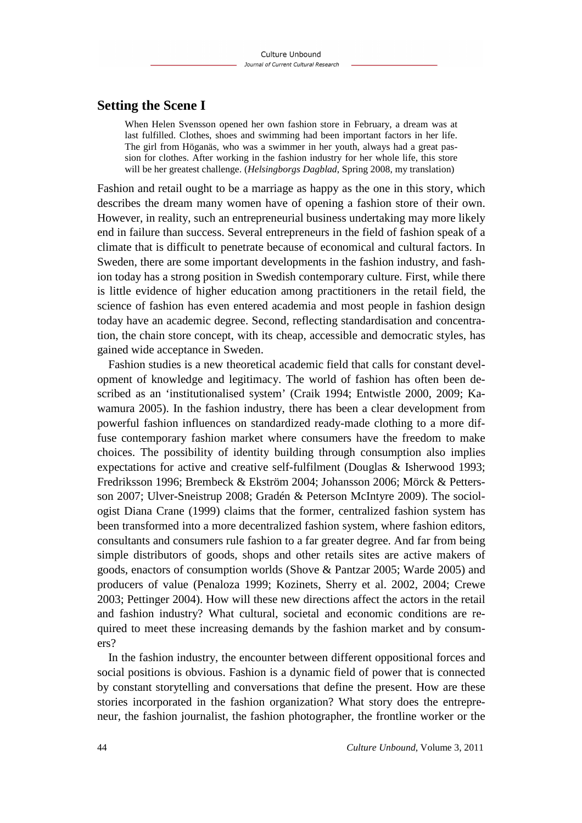## **Setting the Scene I**

When Helen Svensson opened her own fashion store in February, a dream was at last fulfilled. Clothes, shoes and swimming had been important factors in her life. The girl from Höganäs, who was a swimmer in her youth, always had a great passion for clothes. After working in the fashion industry for her whole life, this store will be her greatest challenge. (*Helsingborgs Dagblad*, Spring 2008, my translation)

Fashion and retail ought to be a marriage as happy as the one in this story, which describes the dream many women have of opening a fashion store of their own. However, in reality, such an entrepreneurial business undertaking may more likely end in failure than success. Several entrepreneurs in the field of fashion speak of a climate that is difficult to penetrate because of economical and cultural factors. In Sweden, there are some important developments in the fashion industry, and fashion today has a strong position in Swedish contemporary culture. First, while there is little evidence of higher education among practitioners in the retail field, the science of fashion has even entered academia and most people in fashion design today have an academic degree. Second, reflecting standardisation and concentration, the chain store concept, with its cheap, accessible and democratic styles, has gained wide acceptance in Sweden.

Fashion studies is a new theoretical academic field that calls for constant development of knowledge and legitimacy. The world of fashion has often been described as an 'institutionalised system' (Craik 1994; Entwistle 2000, 2009; Kawamura 2005). In the fashion industry, there has been a clear development from powerful fashion influences on standardized ready-made clothing to a more diffuse contemporary fashion market where consumers have the freedom to make choices. The possibility of identity building through consumption also implies expectations for active and creative self-fulfilment (Douglas & Isherwood 1993; Fredriksson 1996; Brembeck & Ekström 2004; Johansson 2006; Mörck & Pettersson 2007; Ulver-Sneistrup 2008; Gradén & Peterson McIntyre 2009). The sociologist Diana Crane (1999) claims that the former, centralized fashion system has been transformed into a more decentralized fashion system, where fashion editors, consultants and consumers rule fashion to a far greater degree. And far from being simple distributors of goods, shops and other retails sites are active makers of goods, enactors of consumption worlds (Shove & Pantzar 2005; Warde 2005) and producers of value (Penaloza 1999; Kozinets, Sherry et al. 2002, 2004; Crewe 2003; Pettinger 2004). How will these new directions affect the actors in the retail and fashion industry? What cultural, societal and economic conditions are required to meet these increasing demands by the fashion market and by consumers?

In the fashion industry, the encounter between different oppositional forces and social positions is obvious. Fashion is a dynamic field of power that is connected by constant storytelling and conversations that define the present. How are these stories incorporated in the fashion organization? What story does the entrepreneur, the fashion journalist, the fashion photographer, the frontline worker or the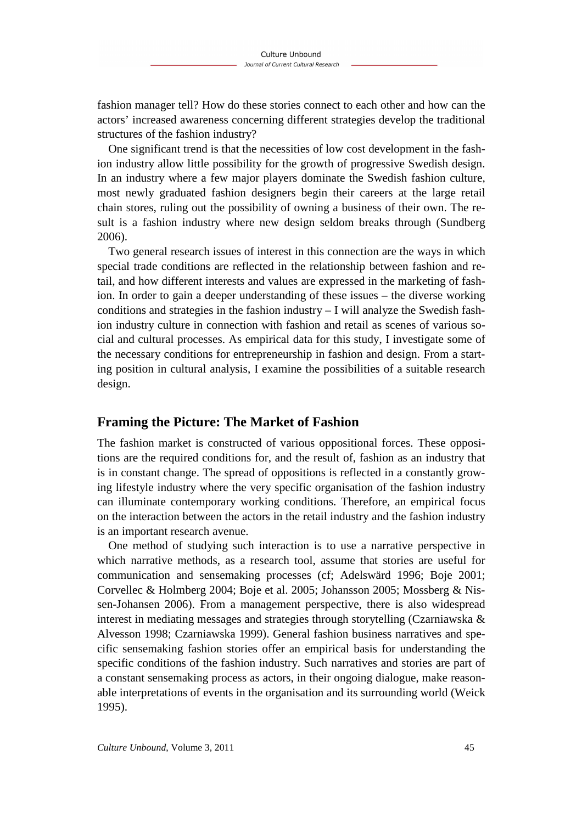fashion manager tell? How do these stories connect to each other and how can the actors' increased awareness concerning different strategies develop the traditional structures of the fashion industry?

One significant trend is that the necessities of low cost development in the fashion industry allow little possibility for the growth of progressive Swedish design. In an industry where a few major players dominate the Swedish fashion culture, most newly graduated fashion designers begin their careers at the large retail chain stores, ruling out the possibility of owning a business of their own. The result is a fashion industry where new design seldom breaks through (Sundberg 2006).

Two general research issues of interest in this connection are the ways in which special trade conditions are reflected in the relationship between fashion and retail, and how different interests and values are expressed in the marketing of fashion. In order to gain a deeper understanding of these issues – the diverse working conditions and strategies in the fashion industry – I will analyze the Swedish fashion industry culture in connection with fashion and retail as scenes of various social and cultural processes. As empirical data for this study, I investigate some of the necessary conditions for entrepreneurship in fashion and design. From a starting position in cultural analysis, I examine the possibilities of a suitable research design.

# **Framing the Picture: The Market of Fashion**

The fashion market is constructed of various oppositional forces. These oppositions are the required conditions for, and the result of, fashion as an industry that is in constant change. The spread of oppositions is reflected in a constantly growing lifestyle industry where the very specific organisation of the fashion industry can illuminate contemporary working conditions. Therefore, an empirical focus on the interaction between the actors in the retail industry and the fashion industry is an important research avenue.

One method of studying such interaction is to use a narrative perspective in which narrative methods, as a research tool, assume that stories are useful for communication and sensemaking processes (cf; Adelswärd 1996; Boje 2001; Corvellec & Holmberg 2004; Boje et al. 2005; Johansson 2005; Mossberg & Nissen-Johansen 2006). From a management perspective, there is also widespread interest in mediating messages and strategies through storytelling (Czarniawska & Alvesson 1998; Czarniawska 1999). General fashion business narratives and specific sensemaking fashion stories offer an empirical basis for understanding the specific conditions of the fashion industry. Such narratives and stories are part of a constant sensemaking process as actors, in their ongoing dialogue, make reasonable interpretations of events in the organisation and its surrounding world (Weick 1995).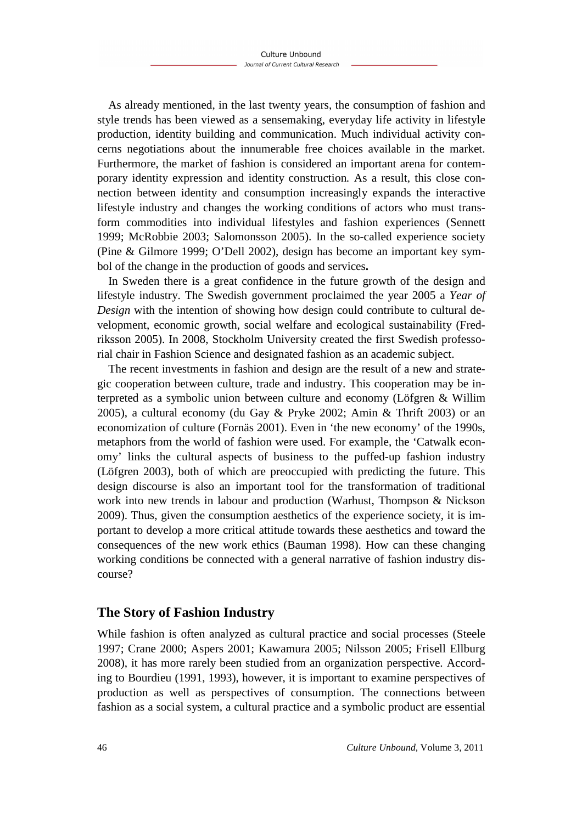As already mentioned, in the last twenty years, the consumption of fashion and style trends has been viewed as a sensemaking, everyday life activity in lifestyle production, identity building and communication. Much individual activity concerns negotiations about the innumerable free choices available in the market. Furthermore, the market of fashion is considered an important arena for contemporary identity expression and identity construction*.* As a result, this close connection between identity and consumption increasingly expands the interactive lifestyle industry and changes the working conditions of actors who must transform commodities into individual lifestyles and fashion experiences (Sennett 1999; McRobbie 2003; Salomonsson 2005). In the so-called experience society (Pine & Gilmore 1999; O'Dell 2002), design has become an important key symbol of the change in the production of goods and services**.** 

In Sweden there is a great confidence in the future growth of the design and lifestyle industry. The Swedish government proclaimed the year 2005 a *Year of Design* with the intention of showing how design could contribute to cultural development, economic growth, social welfare and ecological sustainability (Fredriksson 2005). In 2008, Stockholm University created the first Swedish professorial chair in Fashion Science and designated fashion as an academic subject.

The recent investments in fashion and design are the result of a new and strategic cooperation between culture, trade and industry. This cooperation may be interpreted as a symbolic union between culture and economy (Löfgren & Willim 2005), a cultural economy (du Gay & Pryke 2002; Amin & Thrift 2003) or an economization of culture (Fornäs 2001). Even in 'the new economy' of the 1990s, metaphors from the world of fashion were used. For example, the 'Catwalk economy' links the cultural aspects of business to the puffed-up fashion industry (Löfgren 2003), both of which are preoccupied with predicting the future. This design discourse is also an important tool for the transformation of traditional work into new trends in labour and production (Warhust, Thompson & Nickson 2009). Thus, given the consumption aesthetics of the experience society, it is important to develop a more critical attitude towards these aesthetics and toward the consequences of the new work ethics (Bauman 1998). How can these changing working conditions be connected with a general narrative of fashion industry discourse?

# **The Story of Fashion Industry**

While fashion is often analyzed as cultural practice and social processes (Steele 1997; Crane 2000; Aspers 2001; Kawamura 2005; Nilsson 2005; Frisell Ellburg 2008), it has more rarely been studied from an organization perspective. According to Bourdieu (1991, 1993), however, it is important to examine perspectives of production as well as perspectives of consumption. The connections between fashion as a social system, a cultural practice and a symbolic product are essential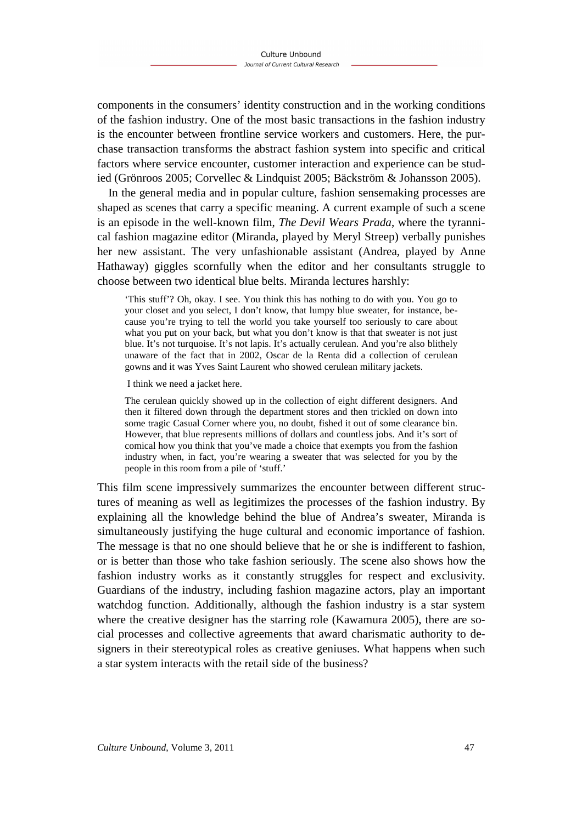components in the consumers' identity construction and in the working conditions of the fashion industry. One of the most basic transactions in the fashion industry is the encounter between frontline service workers and customers. Here, the purchase transaction transforms the abstract fashion system into specific and critical factors where service encounter, customer interaction and experience can be studied (Grönroos 2005; Corvellec & Lindquist 2005; Bäckström & Johansson 2005).

In the general media and in popular culture, fashion sensemaking processes are shaped as scenes that carry a specific meaning. A current example of such a scene is an episode in the well-known film, *The Devil Wears Prada*, where the tyrannical fashion magazine editor (Miranda, played by Meryl Streep) verbally punishes her new assistant. The very unfashionable assistant (Andrea, played by Anne Hathaway) giggles scornfully when the editor and her consultants struggle to choose between two identical blue belts. Miranda lectures harshly:

'This stuff'? Oh, okay. I see. You think this has nothing to do with you. You go to your closet and you select, I don't know, that lumpy blue sweater, for instance, because you're trying to tell the world you take yourself too seriously to care about what you put on your back, but what you don't know is that that sweater is not just blue. It's not turquoise. It's not lapis. It's actually cerulean. And you're also blithely unaware of the fact that in 2002, Oscar de la Renta did a collection of cerulean gowns and it was Yves Saint Laurent who showed cerulean military jackets.

I think we need a jacket here.

The cerulean quickly showed up in the collection of eight different designers. And then it filtered down through the department stores and then trickled on down into some tragic Casual Corner where you, no doubt, fished it out of some clearance bin. However, that blue represents millions of dollars and countless jobs. And it's sort of comical how you think that you've made a choice that exempts you from the fashion industry when, in fact, you're wearing a sweater that was selected for you by the people in this room from a pile of 'stuff.'

This film scene impressively summarizes the encounter between different structures of meaning as well as legitimizes the processes of the fashion industry. By explaining all the knowledge behind the blue of Andrea's sweater, Miranda is simultaneously justifying the huge cultural and economic importance of fashion. The message is that no one should believe that he or she is indifferent to fashion, or is better than those who take fashion seriously. The scene also shows how the fashion industry works as it constantly struggles for respect and exclusivity. Guardians of the industry, including fashion magazine actors, play an important watchdog function. Additionally, although the fashion industry is a star system where the creative designer has the starring role (Kawamura 2005), there are social processes and collective agreements that award charismatic authority to designers in their stereotypical roles as creative geniuses. What happens when such a star system interacts with the retail side of the business?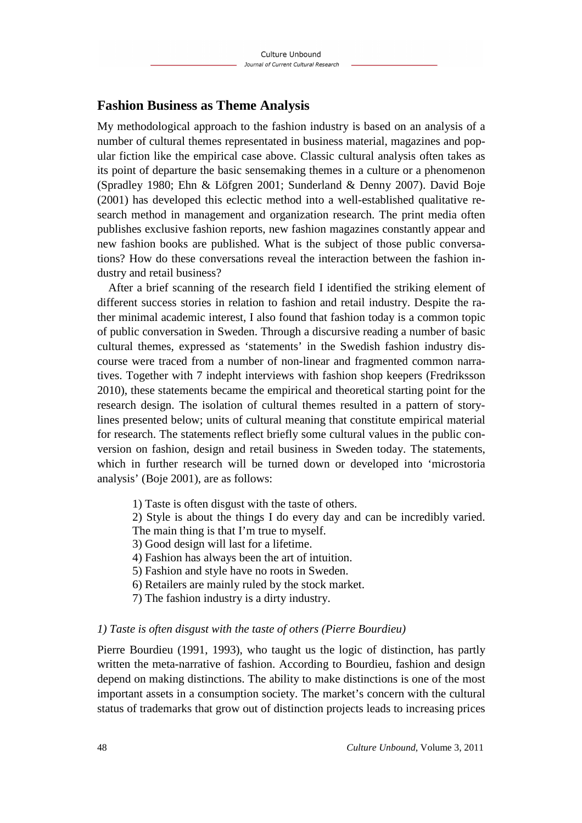# **Fashion Business as Theme Analysis**

My methodological approach to the fashion industry is based on an analysis of a number of cultural themes representated in business material, magazines and popular fiction like the empirical case above. Classic cultural analysis often takes as its point of departure the basic sensemaking themes in a culture or a phenomenon (Spradley 1980; Ehn & Löfgren 2001; Sunderland & Denny 2007). David Boje (2001) has developed this eclectic method into a well-established qualitative research method in management and organization research. The print media often publishes exclusive fashion reports, new fashion magazines constantly appear and new fashion books are published. What is the subject of those public conversations? How do these conversations reveal the interaction between the fashion industry and retail business?

After a brief scanning of the research field I identified the striking element of different success stories in relation to fashion and retail industry. Despite the rather minimal academic interest, I also found that fashion today is a common topic of public conversation in Sweden. Through a discursive reading a number of basic cultural themes, expressed as 'statements' in the Swedish fashion industry discourse were traced from a number of non-linear and fragmented common narratives. Together with 7 indepht interviews with fashion shop keepers (Fredriksson 2010), these statements became the empirical and theoretical starting point for the research design. The isolation of cultural themes resulted in a pattern of storylines presented below; units of cultural meaning that constitute empirical material for research. The statements reflect briefly some cultural values in the public conversion on fashion, design and retail business in Sweden today. The statements, which in further research will be turned down or developed into 'microstoria analysis' (Boje 2001), are as follows:

1) Taste is often disgust with the taste of others.

2) Style is about the things I do every day and can be incredibly varied.

The main thing is that I'm true to myself.

- 3) Good design will last for a lifetime.
- 4) Fashion has always been the art of intuition.
- 5) Fashion and style have no roots in Sweden.
- 6) Retailers are mainly ruled by the stock market.
- 7) The fashion industry is a dirty industry.

#### *1) Taste is often disgust with the taste of others (Pierre Bourdieu)*

Pierre Bourdieu (1991, 1993), who taught us the logic of distinction, has partly written the meta-narrative of fashion. According to Bourdieu, fashion and design depend on making distinctions. The ability to make distinctions is one of the most important assets in a consumption society. The market's concern with the cultural status of trademarks that grow out of distinction projects leads to increasing prices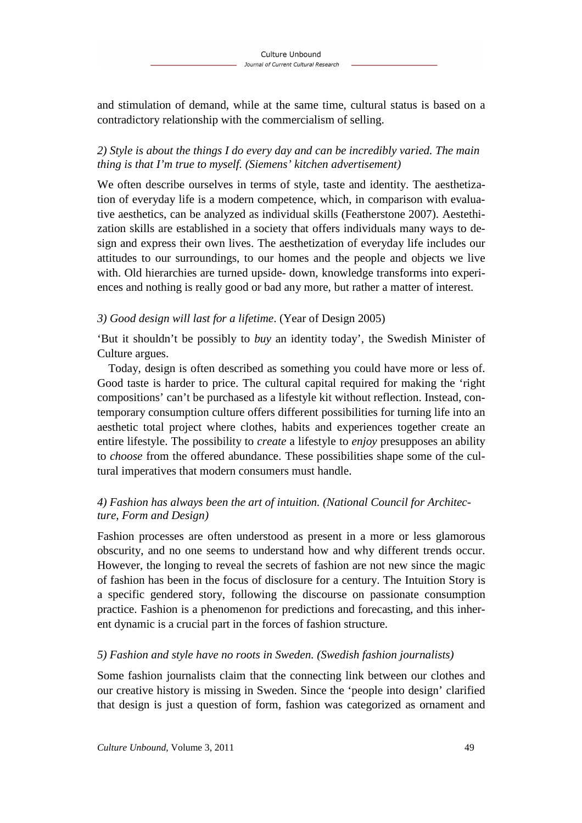and stimulation of demand, while at the same time, cultural status is based on a contradictory relationship with the commercialism of selling.

# *2) Style is about the things I do every day and can be incredibly varied. The main thing is that I'm true to myself. (Siemens' kitchen advertisement)*

We often describe ourselves in terms of style, taste and identity. The aesthetization of everyday life is a modern competence, which, in comparison with evaluative aesthetics, can be analyzed as individual skills (Featherstone 2007). Aestethization skills are established in a society that offers individuals many ways to design and express their own lives. The aesthetization of everyday life includes our attitudes to our surroundings, to our homes and the people and objects we live with. Old hierarchies are turned upside- down, knowledge transforms into experiences and nothing is really good or bad any more, but rather a matter of interest.

# *3) Good design will last for a lifetime*. (Year of Design 2005)

'But it shouldn't be possibly to *buy* an identity today', the Swedish Minister of Culture argues.

Today, design is often described as something you could have more or less of. Good taste is harder to price. The cultural capital required for making the 'right compositions' can't be purchased as a lifestyle kit without reflection. Instead, contemporary consumption culture offers different possibilities for turning life into an aesthetic total project where clothes, habits and experiences together create an entire lifestyle. The possibility to *create* a lifestyle to *enjoy* presupposes an ability to *choose* from the offered abundance. These possibilities shape some of the cultural imperatives that modern consumers must handle.

# *4) Fashion has always been the art of intuition. (National Council for Architecture, Form and Design)*

Fashion processes are often understood as present in a more or less glamorous obscurity, and no one seems to understand how and why different trends occur. However, the longing to reveal the secrets of fashion are not new since the magic of fashion has been in the focus of disclosure for a century. The Intuition Story is a specific gendered story, following the discourse on passionate consumption practice. Fashion is a phenomenon for predictions and forecasting, and this inherent dynamic is a crucial part in the forces of fashion structure.

# *5) Fashion and style have no roots in Sweden. (Swedish fashion journalists)*

Some fashion journalists claim that the connecting link between our clothes and our creative history is missing in Sweden. Since the 'people into design' clarified that design is just a question of form, fashion was categorized as ornament and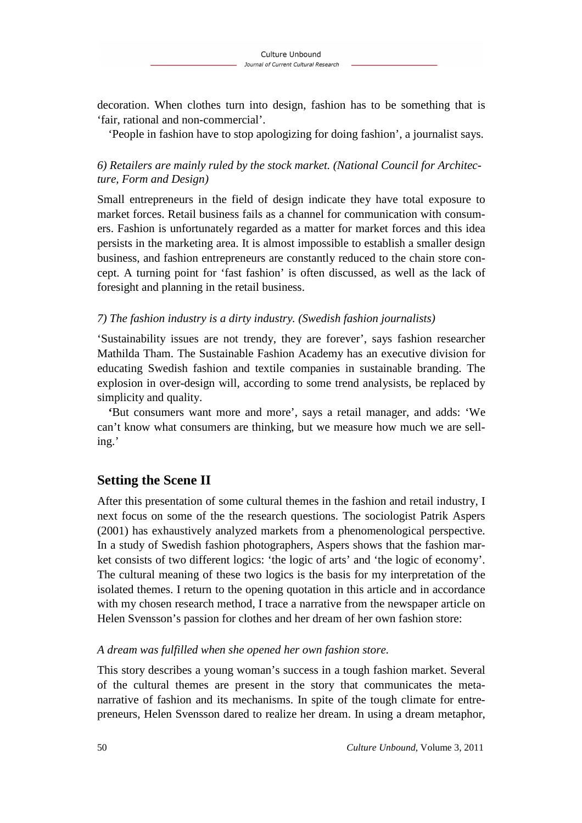decoration. When clothes turn into design, fashion has to be something that is 'fair, rational and non-commercial'.

'People in fashion have to stop apologizing for doing fashion', a journalist says.

# *6) Retailers are mainly ruled by the stock market. (National Council for Architecture, Form and Design)*

Small entrepreneurs in the field of design indicate they have total exposure to market forces. Retail business fails as a channel for communication with consumers. Fashion is unfortunately regarded as a matter for market forces and this idea persists in the marketing area. It is almost impossible to establish a smaller design business, and fashion entrepreneurs are constantly reduced to the chain store concept. A turning point for 'fast fashion' is often discussed, as well as the lack of foresight and planning in the retail business.

#### *7) The fashion industry is a dirty industry. (Swedish fashion journalists)*

'Sustainability issues are not trendy, they are forever', says fashion researcher Mathilda Tham. The Sustainable Fashion Academy has an executive division for educating Swedish fashion and textile companies in sustainable branding. The explosion in over-design will, according to some trend analysists, be replaced by simplicity and quality.

**'**But consumers want more and more', says a retail manager, and adds: 'We can't know what consumers are thinking, but we measure how much we are selling.'

# **Setting the Scene II**

After this presentation of some cultural themes in the fashion and retail industry, I next focus on some of the the research questions. The sociologist Patrik Aspers (2001) has exhaustively analyzed markets from a phenomenological perspective. In a study of Swedish fashion photographers, Aspers shows that the fashion market consists of two different logics: 'the logic of arts' and 'the logic of economy'. The cultural meaning of these two logics is the basis for my interpretation of the isolated themes. I return to the opening quotation in this article and in accordance with my chosen research method, I trace a narrative from the newspaper article on Helen Svensson's passion for clothes and her dream of her own fashion store:

#### *A dream was fulfilled when she opened her own fashion store.*

This story describes a young woman's success in a tough fashion market. Several of the cultural themes are present in the story that communicates the metanarrative of fashion and its mechanisms. In spite of the tough climate for entrepreneurs, Helen Svensson dared to realize her dream. In using a dream metaphor,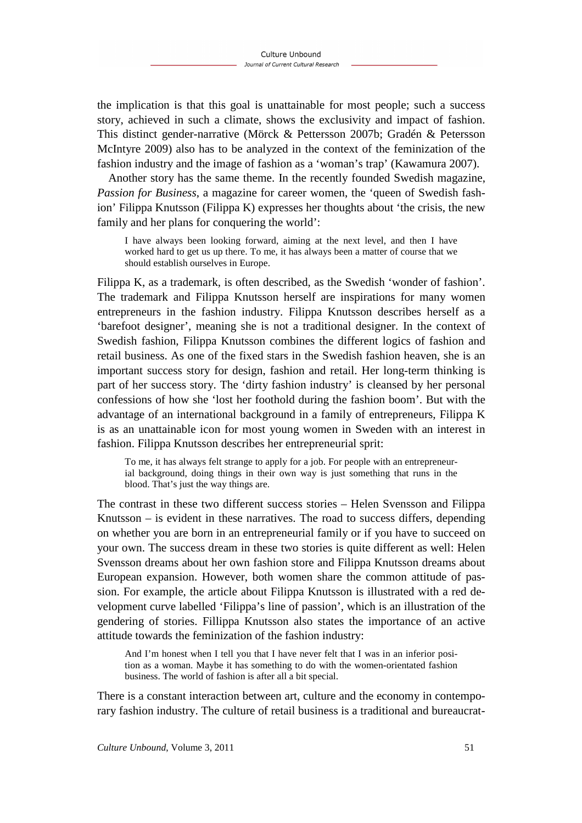the implication is that this goal is unattainable for most people; such a success story, achieved in such a climate, shows the exclusivity and impact of fashion. This distinct gender-narrative (Mörck & Pettersson 2007b; Gradén & Petersson McIntyre 2009) also has to be analyzed in the context of the feminization of the fashion industry and the image of fashion as a 'woman's trap' (Kawamura 2007).

Another story has the same theme. In the recently founded Swedish magazine, *Passion for Business*, a magazine for career women, the 'queen of Swedish fashion' Filippa Knutsson (Filippa K) expresses her thoughts about 'the crisis, the new family and her plans for conquering the world':

I have always been looking forward, aiming at the next level, and then I have worked hard to get us up there. To me, it has always been a matter of course that we should establish ourselves in Europe.

Filippa K, as a trademark, is often described, as the Swedish 'wonder of fashion'. The trademark and Filippa Knutsson herself are inspirations for many women entrepreneurs in the fashion industry. Filippa Knutsson describes herself as a 'barefoot designer', meaning she is not a traditional designer. In the context of Swedish fashion, Filippa Knutsson combines the different logics of fashion and retail business. As one of the fixed stars in the Swedish fashion heaven, she is an important success story for design, fashion and retail. Her long-term thinking is part of her success story. The 'dirty fashion industry' is cleansed by her personal confessions of how she 'lost her foothold during the fashion boom'. But with the advantage of an international background in a family of entrepreneurs, Filippa K is as an unattainable icon for most young women in Sweden with an interest in fashion. Filippa Knutsson describes her entrepreneurial sprit:

To me, it has always felt strange to apply for a job. For people with an entrepreneurial background, doing things in their own way is just something that runs in the blood. That's just the way things are.

The contrast in these two different success stories – Helen Svensson and Filippa Knutsson – is evident in these narratives. The road to success differs, depending on whether you are born in an entrepreneurial family or if you have to succeed on your own. The success dream in these two stories is quite different as well: Helen Svensson dreams about her own fashion store and Filippa Knutsson dreams about European expansion. However, both women share the common attitude of passion. For example, the article about Filippa Knutsson is illustrated with a red development curve labelled 'Filippa's line of passion', which is an illustration of the gendering of stories. Fillippa Knutsson also states the importance of an active attitude towards the feminization of the fashion industry:

And I'm honest when I tell you that I have never felt that I was in an inferior position as a woman. Maybe it has something to do with the women-orientated fashion business. The world of fashion is after all a bit special.

There is a constant interaction between art, culture and the economy in contemporary fashion industry. The culture of retail business is a traditional and bureaucrat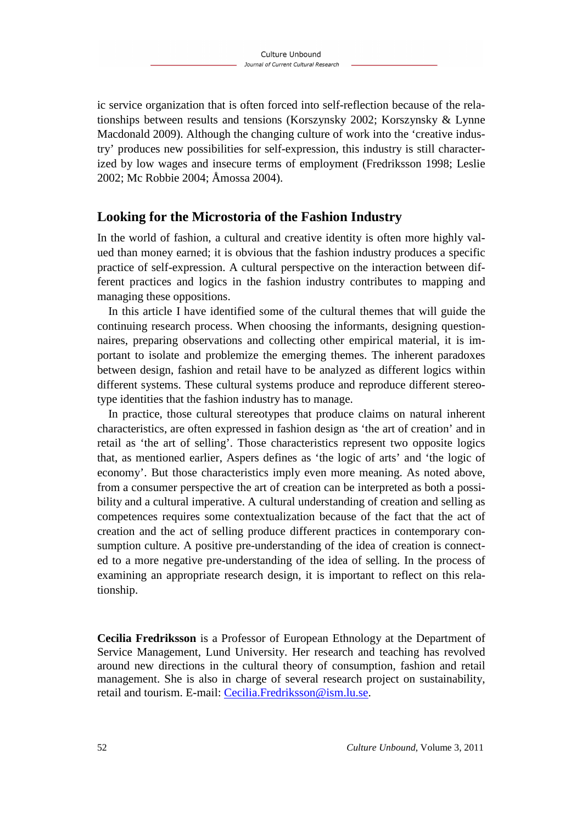ic service organization that is often forced into self-reflection because of the relationships between results and tensions (Korszynsky 2002; Korszynsky & Lynne Macdonald 2009). Although the changing culture of work into the 'creative industry' produces new possibilities for self-expression, this industry is still characterized by low wages and insecure terms of employment (Fredriksson 1998; Leslie 2002; Mc Robbie 2004; Åmossa 2004).

# **Looking for the Microstoria of the Fashion Industry**

In the world of fashion, a cultural and creative identity is often more highly valued than money earned; it is obvious that the fashion industry produces a specific practice of self-expression. A cultural perspective on the interaction between different practices and logics in the fashion industry contributes to mapping and managing these oppositions.

In this article I have identified some of the cultural themes that will guide the continuing research process. When choosing the informants, designing questionnaires, preparing observations and collecting other empirical material, it is important to isolate and problemize the emerging themes. The inherent paradoxes between design, fashion and retail have to be analyzed as different logics within different systems. These cultural systems produce and reproduce different stereotype identities that the fashion industry has to manage.

In practice, those cultural stereotypes that produce claims on natural inherent characteristics, are often expressed in fashion design as 'the art of creation' and in retail as 'the art of selling'. Those characteristics represent two opposite logics that, as mentioned earlier, Aspers defines as 'the logic of arts' and 'the logic of economy'. But those characteristics imply even more meaning. As noted above, from a consumer perspective the art of creation can be interpreted as both a possibility and a cultural imperative. A cultural understanding of creation and selling as competences requires some contextualization because of the fact that the act of creation and the act of selling produce different practices in contemporary consumption culture. A positive pre-understanding of the idea of creation is connected to a more negative pre-understanding of the idea of selling. In the process of examining an appropriate research design, it is important to reflect on this relationship.

**Cecilia Fredriksson** is a Professor of European Ethnology at the Department of Service Management, Lund University. Her research and teaching has revolved around new directions in the cultural theory of consumption, fashion and retail management. She is also in charge of several research project on sustainability, retail and tourism. E-mail: Cecilia.Fredriksson@ism.lu.se.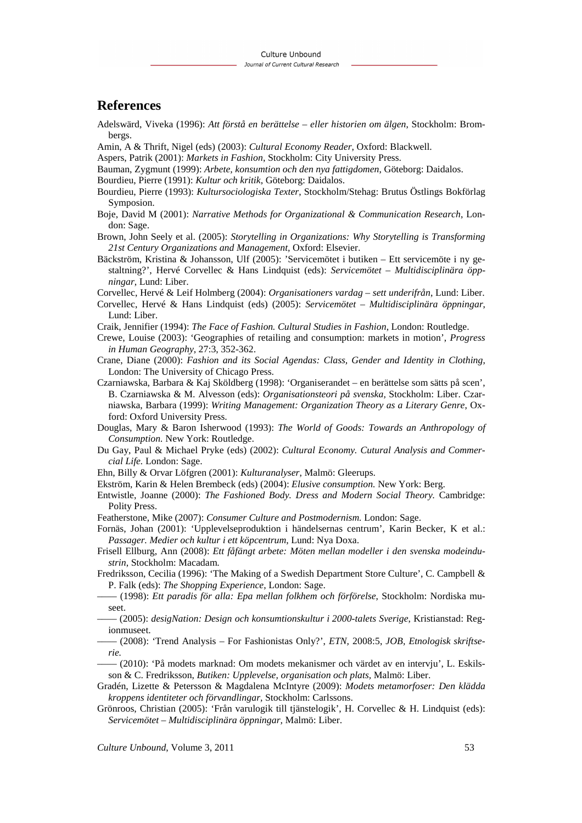#### **References**

- Adelswärd, Viveka (1996): *Att förstå en berättelse eller historien om älgen*, Stockholm: Brombergs.
- Amin, A & Thrift, Nigel (eds) (2003): *Cultural Economy Reader*, Oxford: Blackwell.
- Aspers, Patrik (2001): *Markets in Fashion*, Stockholm: City University Press.
- Bauman, Zygmunt (1999): *Arbete, konsumtion och den nya fattigdomen*, Göteborg: Daidalos.
- Bourdieu, Pierre (1991): *Kultur och kritik*, Göteborg: Daidalos.
- Bourdieu, Pierre (1993): *Kultursociologiska Texter*, Stockholm/Stehag: Brutus Östlings Bokförlag Symposion.
- Boje, David M (2001): *Narrative Methods for Organizational & Communication Research*, London: Sage.
- Brown, John Seely et al. (2005): *Storytelling in Organizations: Why Storytelling is Transforming 21st Century Organizations and Management,* Oxford: Elsevier.
- Bäckström, Kristina & Johansson, Ulf (2005): 'Servicemötet i butiken Ett servicemöte i ny gestaltning?', Hervé Corvellec & Hans Lindquist (eds): *Servicemötet – Multidisciplinära öppningar*, Lund: Liber.

Corvellec, Hervé & Leif Holmberg (2004): *Organisationers vardag – sett underifrån*, Lund: Liber.

- Corvellec, Hervé & Hans Lindquist (eds) (2005): *Servicemötet Multidisciplinära öppningar*, Lund: Liber.
- Craik, Jennifier (1994): *The Face of Fashion. Cultural Studies in Fashion*, London: Routledge.
- Crewe, Louise (2003): 'Geographies of retailing and consumption: markets in motion', *Progress in Human Geography*, 27:3, 352-362.
- Crane, Diane (2000): *Fashion and its Social Agendas: Class, Gender and Identity in Clothing*, London: The University of Chicago Press.
- Czarniawska, Barbara & Kaj Sköldberg (1998): 'Organiserandet en berättelse som sätts på scen', B. Czarniawska & M. Alvesson (eds): *Organisationsteori på svenska,* Stockholm: Liber. Czarniawska, Barbara (1999): *Writing Management: Organization Theory as a Literary Genre*, Oxford: Oxford University Press.
- Douglas, Mary & Baron Isherwood (1993): *The World of Goods: Towards an Anthropology of Consumption.* New York: Routledge.
- Du Gay, Paul & Michael Pryke (eds) (2002): *Cultural Economy. Cutural Analysis and Commercial Life.* London: Sage.
- Ehn, Billy & Orvar Löfgren (2001): *Kulturanalyser*, Malmö: Gleerups.
- Ekström, Karin & Helen Brembeck (eds) (2004): *Elusive consumption.* New York: Berg.
- Entwistle, Joanne (2000): *The Fashioned Body. Dress and Modern Social Theory.* Cambridge: Polity Press.
- Featherstone, Mike (2007): *Consumer Culture and Postmodernism.* London: Sage.
- Fornäs, Johan (2001): 'Upplevelseproduktion i händelsernas centrum', Karin Becker, K et al.: *Passager. Medier och kultur i ett köpcentrum*, Lund: Nya Doxa.
- Frisell Ellburg, Ann (2008): *Ett fåfängt arbete: Möten mellan modeller i den svenska modeindustrin*, Stockholm: Macadam.
- Fredriksson, Cecilia (1996): 'The Making of a Swedish Department Store Culture', C. Campbell & P. Falk (eds): *The Shopping Experience*, London: Sage.
- –––– (1998): *Ett paradis för alla: Epa mellan folkhem och förförelse*, Stockholm: Nordiska museet.
- –––– (2005): *desigNation: Design och konsumtionskultur i 2000-talets Sverige*, Kristianstad: Regionmuseet.
- –––– (2008): 'Trend Analysis For Fashionistas Only?', *ETN,* 2008:5, *JOB, Etnologisk skriftserie.*
- –––– (2010): 'På modets marknad: Om modets mekanismer och värdet av en intervju', L. Eskilsson & C. Fredriksson, *Butiken: Upplevelse, organisation och plats,* Malmö: Liber.
- Gradén, Lizette & Petersson & Magdalena McIntyre (2009): *Modets metamorfoser: Den klädda kroppens identiteter och förvandlingar,* Stockholm: Carlssons.
- Grönroos, Christian (2005): 'Från varulogik till tjänstelogik', H. Corvellec & H. Lindquist (eds): *Servicemötet – Multidisciplinära öppningar,* Malmö: Liber.

*Culture Unbound*, Volume 3, 2011 53